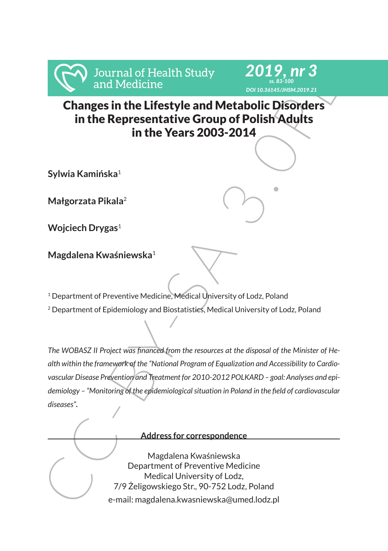



Changes in the Lifestyle and Metabolic Disorders in the Representative Group of Polish Adults in the Years 2003-2014

**Sylwia Kamińska**<sup>1</sup>

**Małgorzata Pikala**<sup>2</sup>

**Wojciech Drygas**<sup>1</sup>

**Magdalena Kwaśniewska**<sup>1</sup>

<sup>1</sup> Department of Preventive Medicine, Medical University of Lodz, Poland

<sup>2</sup> Department of Epidemiology and Biostatistics, Medical University of Lodz, Poland

Frances in the Lifestyle and Medicine<br>
Changes in the Hersettetive Group of Polish Adults<br>
in the Representative Group of Polish Adults<br>
in the Years 2003-2014<br>
Sylwia Kaminiska<sup>1</sup><br>
Magorzata Pikala<sup>2</sup><br>
Wojciech Drygas<sup>1</sup><br> *The WOBASZ II Project was financed from the resources at the disposal of the Minister of Health within the framework of the "National Program of Equalization and Accessibility to Cardiovascular Disease Prevention and Treatment for 2010-2012 POLKARD – goal: Analyses and epidemiology – "Monitoring of the epidemiological situation in Poland in the field of cardiovascular diseases".*

#### **Address for correspondence**

Magdalena Kwaśniewska Department of Preventive Medicine Medical University of Lodz, 7/9 Żeligowskiego Str., 90-752 Lodz, Poland e-mail: magdalena.kwasniewska@umed.lodz.pl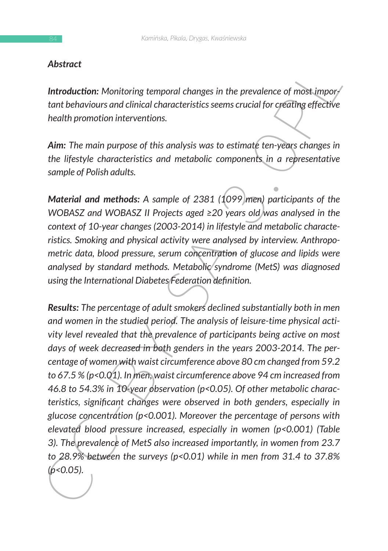# *Abstract*

*Introduction: Monitoring temporal changes in the prevalence of most important behaviours and clinical characteristics seems crucial for creating effective health promotion interventions.*

*Aim: The main purpose of this analysis was to estimate ten-years changes in the lifestyle characteristics and metabolic components in a representative sample of Polish adults.*

*Material and methods: A sample of 2381 (1099 men) participants of the WOBASZ and WOBASZ II Projects aged ≥20 years old was analysed in the context of 10-year changes (2003-2014) in lifestyle and metabolic characteristics. Smoking and physical activity were analysed by interview. Anthropometric data, blood pressure, serum concentration of glucose and lipids were analysed by standard methods. Metabolic syndrome (MetS) was diagnosed using the International Diabetes Federation definition.* 

**Introduction:** Monitoring temporal changes in the prevalence of most impor-<br>
tant behaviours and clinical characteristics seems crucial for cyealing effective<br>
health promotion interventions.<br> **Aim:** The main purpose of *Results: The percentage of adult smokers declined substantially both in men and women in the studied period. The analysis of leisure-time physical activity level revealed that the prevalence of participants being active on most days of week decreased in both genders in the years 2003-2014. The percentage of women with waist circumference above 80 cm changed from 59.2 to 67.5 % (p<0.01). In men, waist circumference above 94 cm increased from 46.8 to 54.3% in 10-year observation (p<0.05). Of other metabolic characteristics, significant changes were observed in both genders, especially in glucose concentration (p<0.001). Moreover the percentage of persons with elevated blood pressure increased, especially in women (p<0.001) (Table 3). The prevalence of MetS also increased importantly, in women from 23.7 to 28.9% between the surveys (p<0.01) while in men from 31.4 to 37.8% (p<0.05).*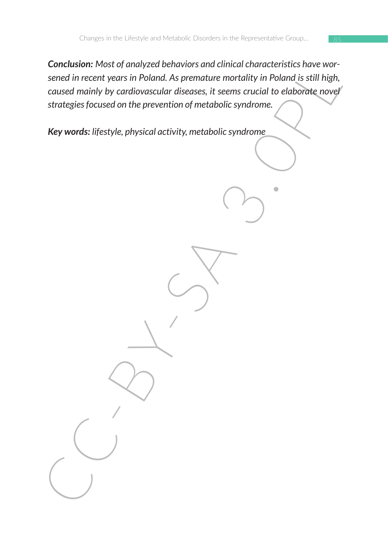Sened in recent years in Poland. As premature mortality in Poland is still high,<br>caused mainly by cardiovascular diseases, it seems crucial to elaborate novel<br>strategies focused on the prevention of metabolic syndrome.<br>Key *Conclusion: Most of analyzed behaviors and clinical characteristics have worsened in recent years in Poland. As premature mortality in Poland is still high, caused mainly by cardiovascular diseases, it seems crucial to elaborate novel strategies focused on the prevention of metabolic syndrome.*

*Key words: lifestyle, physical activity, metabolic syndrome*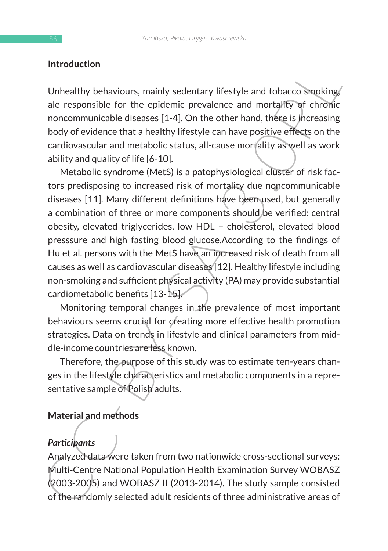### **Introduction**

Unhealthy behaviours, mainly sedentary lifestyle and tobacco smoking, ale responsible for the epidemic prevalence and mortality of chronic noncommunicable diseases [1-4]. On the other hand, there is increasing body of evidence that a healthy lifestyle can have positive effects on the cardiovascular and metabolic status, all-cause mortality as well as work ability and quality of life [6-10].

Introduction<br>
Unhealthy behaviours, mainly sedentary lifestyle and tobacco smoking<br>
ale responsible for the epidemic prevalence and mortality of chronic<br>
noncommuniciable diseases [1-4]. On the other hand, these is increas Metabolic syndrome (MetS) is a patophysiological cluster of risk factors predisposing to increased risk of mortality due noncommunicable diseases [11]. Many different definitions have been used, but generally a combination of three or more components should be verified: central obesity, elevated triglycerides, low HDL – cholesterol, elevated blood presssure and high fasting blood glucose.According to the findings of Hu et al. persons with the MetS have an increased risk of death from all causes as well as cardiovascular diseases [12]. Healthy lifestyle including non-smoking and sufficient physical activity (PA) may provide substantial cardiometabolic benefits [13-15].

Monitoring temporal changes in the prevalence of most important behaviours seems crucial for creating more effective health promotion strategies. Data on trends in lifestyle and clinical parameters from middle-income countries are less known.

Therefore, the purpose of this study was to estimate ten-years changes in the lifestyle characteristics and metabolic components in a representative sample of Polish adults.

# **Material and methods**

# *Participants*

Analyzed data were taken from two nationwide cross-sectional surveys: Multi-Centre National Population Health Examination Survey WOBASZ (2003-2005) and WOBASZ II (2013-2014). The study sample consisted of the randomly selected adult residents of three administrative areas of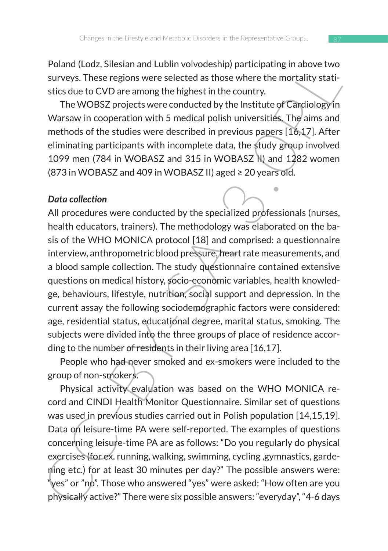Poland (Lodz, Silesian and Lublin voivodeship) participating in above two surveys. These regions were selected as those where the mortality statistics due to CVD are among the highest in the country.

The WOBSZ projects were conducted by the Institute of Cardiology in Warsaw in cooperation with 5 medical polish universities. The aims and methods of the studies were described in previous papers [16,17]. After eliminating participants with incomplete data, the study group involved 1099 men (784 in WOBASZ and 315 in WOBASZ II) and 1282 women (873 in WOBASZ and 409 in WOBASZ II) aged ≥ 20 years old.

#### *Data collection*

Fualure (LOLZ, suissian and culture of the regrous parachearing in adove word<br>surveys. These regions were selected as those where the mortality stati-<br>stics due to CVD are among the highest in the country.<br>The WOBSZ proje All procedures were conducted by the specialized professionals (nurses, health educators, trainers). The methodology was elaborated on the basis of the WHO MONICA protocol [18] and comprised: a questionnaire interview, anthropometric blood pressure, heart rate measurements, and a blood sample collection. The study questionnaire contained extensive questions on medical history, socio-economic variables, health knowledge, behaviours, lifestyle, nutrition, social support and depression. In the current assay the following sociodemographic factors were considered: age, residential status, educational degree, marital status, smoking. The subjects were divided into the three groups of place of residence according to the number of residents in their living area [16,17].

People who had never smoked and ex-smokers were included to the group of non-smokers.

Physical activity evaluation was based on the WHO MONICA record and CINDI Health Monitor Questionnaire. Similar set of questions was used in previous studies carried out in Polish population [14,15,19]. Data on leisure-time PA were self-reported. The examples of questions concerning leisure-time PA are as follows: "Do you regularly do physical exercises (for ex. running, walking, swimming, cycling ,gymnastics, gardening etc.) for at least 30 minutes per day?" The possible answers were: "yes" or "no". Those who answered "yes" were asked: "How often are you physically active?" There were six possible answers: "everyday", "4-6 days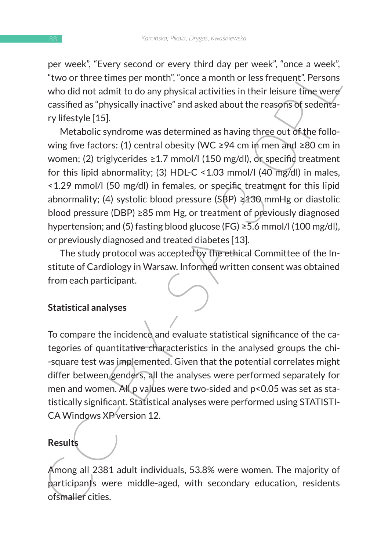per week", "Every second or every third day per week", "once a week", "two or three times per month", "once a month or less frequent". Persons who did not admit to do any physical activities in their leisure time were cassified as "physically inactive" and asked about the reasons of sedentary lifestyle [15].

Frequence, every section of every unit day per wears, once a week,  $\approx 0.01$ <br>
"two or three times per month", "once a month or less frequent". Persons<br>
who did not admit to do any physical activities in their leisure time Metabolic syndrome was determined as having three out of the following five factors: (1) central obesity (WC ≥94 cm in men and ≥80 cm in women; (2) triglycerides  $\geq 1.7$  mmol/l (150 mg/dl), or specific treatment for this lipid abnormality; (3) HDL-C <1.03 mmol/l (40 mg/dl) in males, <1.29 mmol/l (50 mg/dl) in females, or specific treatment for this lipid abnormality; (4) systolic blood pressure (SBP)  $\geq$ 130 mmHg or diastolic blood pressure (DBP) ≥85 mm Hg, or treatment of previously diagnosed hypertension; and (5) fasting blood glucose (FG) ≥5.6 mmol/l (100 mg/dl), or previously diagnosed and treated diabetes [13].

The study protocol was accepted by the ethical Committee of the Institute of Cardiology in Warsaw. Informed written consent was obtained from each participant.

# **Statistical analyses**

To compare the incidence and evaluate statistical significance of the categories of quantitative characteristics in the analysed groups the chi- -square test was implemented. Given that the potential correlates might differ between genders, all the analyses were performed separately for men and women. All p values were two-sided and p<0.05 was set as statistically significant. Statistical analyses were performed using STATISTI-CA Windows XP version 12.

## **Results**

Among all 2381 adult individuals, 53.8% were women. The majority of participants were middle-aged, with secondary education, residents ofsmaller cities.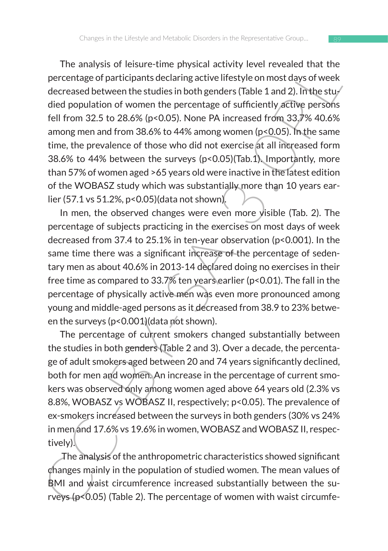The allaysis of leastic-time physical actuvity lever tevelated that the<br>precentage of participants declaring active lifetstyle on most days of week<br>decreased between the studies in both genders (Table 1 and 2). In the stud The analysis of leisure-time physical activity level revealed that the percentage of participants declaring active lifestyle on most days of week decreased between the studies in both genders (Table 1 and 2). In the studied population of women the percentage of sufficiently active persons fell from 32.5 to 28.6% (p<0.05). None PA increased from 33.7% 40.6% among men and from 38.6% to 44% among women (p<0.05). In the same time, the prevalence of those who did not exercise at all increased form 38.6% to 44% between the surveys (p<0.05)(Tab.1). Importantly, more than 57% of women aged >65 years old were inactive in the latest edition of the WOBASZ study which was substantially more than 10 years earlier (57.1 vs 51.2%, p<0.05)(data not shown).

In men, the observed changes were even more visible (Tab. 2). The percentage of subjects practicing in the exercises on most days of week decreased from 37.4 to 25.1% in ten-year observation (p<0.001). In the same time there was a significant increase of the percentage of sedentary men as about 40.6% in 2013-14 declared doing no exercises in their free time as compared to 33.7% ten years earlier (p<0.01). The fall in the percentage of physically active men was even more pronounced among young and middle-aged persons as it decreased from 38.9 to 23% between the surveys (p<0.001)(data not shown).

The percentage of current smokers changed substantially between the studies in both genders (Table 2 and 3). Over a decade, the percentage of adult smokers aged between 20 and 74 years significantly declined, both for men and women. An increase in the percentage of current smokers was observed only among women aged above 64 years old (2.3% vs 8.8%, WOBASZ vs WOBASZ II, respectively; p<0.05). The prevalence of ex-smokers increased between the surveys in both genders (30% vs 24% in men and 17.6% vs 19.6% in women, WOBASZ and WOBASZ II, respectively).

 The analysis of the anthropometric characteristics showed significant changes mainly in the population of studied women. The mean values of BMI and waist circumference increased substantially between the surveys (p<0.05) (Table 2). The percentage of women with waist circumfe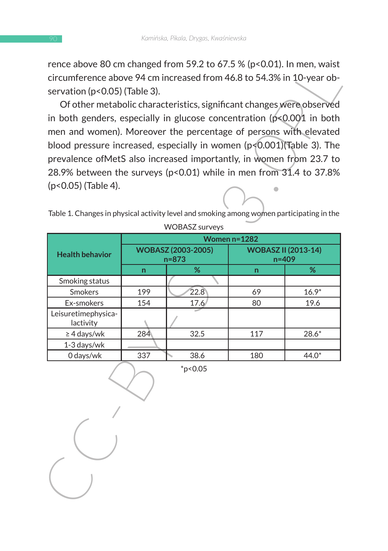rence above 80 cm changed from 59.2 to 67.5 % ( $p$ <0.01). In men, waist circumference above 94 cm increased from 46.8 to 54.3% in 10-year observation (p<0.05) (Table 3).

| Tence above 80 cm changed from 59.2 to 87.5 % (p<0.01). In men, waist<br>circumference above 94 cm increased from 46.8 to 54.3% in 10-year ob-<br>servation (p<0.05) (Table 3). |                                        | Of other metabolic characteristics, significant changes were observed |                                     |         |  |  |
|---------------------------------------------------------------------------------------------------------------------------------------------------------------------------------|----------------------------------------|-----------------------------------------------------------------------|-------------------------------------|---------|--|--|
| in both genders, especially in glucose concentration ( $p<0.001$ in both                                                                                                        |                                        |                                                                       |                                     |         |  |  |
| men and women). Moreover the percentage of persons with elevated                                                                                                                |                                        |                                                                       |                                     |         |  |  |
| blood pressure increased, especially in women (p<0.001)(Table 3). The                                                                                                           |                                        |                                                                       |                                     |         |  |  |
| prevalence ofMetS also increased importantly, in women from 23.7 to                                                                                                             |                                        |                                                                       |                                     |         |  |  |
| 28.9% between the surveys (p<0.01) while in men from 31.4 to 37.8%                                                                                                              |                                        |                                                                       |                                     |         |  |  |
| (p<0.05) (Table 4).<br>Table 1. Changes in physical activity level and smoking among women participating in the<br><b>WOBASZ</b> surveys                                        |                                        |                                                                       |                                     |         |  |  |
|                                                                                                                                                                                 | Women n=1282                           |                                                                       |                                     |         |  |  |
| <b>Health behavior</b>                                                                                                                                                          | <b>WOBASZ (2003-2005)</b><br>$n = 873$ |                                                                       | <b>WOBASZ II (2013-14)</b><br>n=409 |         |  |  |
|                                                                                                                                                                                 | n                                      | %                                                                     | n                                   | %       |  |  |
| Smoking status                                                                                                                                                                  |                                        |                                                                       |                                     |         |  |  |
| Smokers                                                                                                                                                                         | 199                                    | 22.8                                                                  | 69                                  | $16.9*$ |  |  |
| Ex-smokers<br>Leisuretimephysica-                                                                                                                                               | 154                                    | 17.6                                                                  | 80                                  | 19.6    |  |  |
| lactivity                                                                                                                                                                       |                                        |                                                                       |                                     |         |  |  |
| $\geq 4$ days/wk                                                                                                                                                                | 284                                    | 32.5                                                                  | 117                                 | $28.6*$ |  |  |
| 1-3 days/wk                                                                                                                                                                     |                                        |                                                                       |                                     |         |  |  |
| 0 days/wk                                                                                                                                                                       | 337                                    | 38.6                                                                  | 180                                 | 44.0*   |  |  |
|                                                                                                                                                                                 |                                        | $*_{p<0.05}$                                                          |                                     |         |  |  |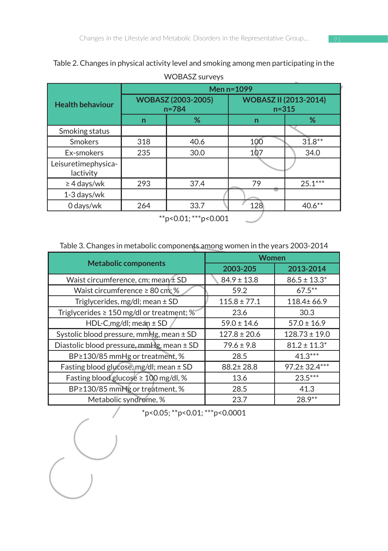| <b>WOBASZ</b> surveys            |                                        |      |                                           |           |  |  |
|----------------------------------|----------------------------------------|------|-------------------------------------------|-----------|--|--|
| <b>Health behaviour</b>          | Men $n=1099$                           |      |                                           |           |  |  |
|                                  | <b>WOBASZ (2003-2005)</b><br>$n = 784$ |      | <b>WOBASZ II (2013-2014)</b><br>$n = 315$ |           |  |  |
|                                  | n                                      | %    | n                                         | %         |  |  |
| Smoking status                   |                                        |      |                                           |           |  |  |
| <b>Smokers</b>                   | 318                                    | 40.6 | 100                                       | $31.8**$  |  |  |
| Ex-smokers                       | 235                                    | 30.0 | 107                                       | 34.0      |  |  |
| Leisuretimephysica-<br>lactivity |                                        |      |                                           |           |  |  |
| $\geq$ 4 days/wk                 | 293                                    | 37.4 | 79                                        | $25.1***$ |  |  |
| 1-3 days/wk                      |                                        |      |                                           |           |  |  |
| 0 days/wk                        | 264                                    | 33.7 | 128                                       | $40.6***$ |  |  |

# Table 2. Changes in physical activity level and smoking among men participating in the

| Men n=1099<br><b>WOBASZ (2003-2005)</b><br>%<br>$\mathsf{n}$<br>40.6<br>100<br>30.0<br>107<br>79<br>37.4<br>128<br>33.7<br>**p<0.01; ***p<0.001 | <b>WOBASZ II (2013-2014)</b><br>n=315<br>%<br>$31.8**$<br>34.0<br>$25.1***$<br>$40.6**$     |  |  |
|-------------------------------------------------------------------------------------------------------------------------------------------------|---------------------------------------------------------------------------------------------|--|--|
|                                                                                                                                                 |                                                                                             |  |  |
|                                                                                                                                                 |                                                                                             |  |  |
|                                                                                                                                                 |                                                                                             |  |  |
|                                                                                                                                                 |                                                                                             |  |  |
|                                                                                                                                                 |                                                                                             |  |  |
|                                                                                                                                                 |                                                                                             |  |  |
|                                                                                                                                                 |                                                                                             |  |  |
|                                                                                                                                                 |                                                                                             |  |  |
|                                                                                                                                                 |                                                                                             |  |  |
|                                                                                                                                                 |                                                                                             |  |  |
|                                                                                                                                                 | Table 3. Changes in metabolic components among women in the years 2003-2014<br><b>Women</b> |  |  |
| 2003-205                                                                                                                                        | 2013-2014                                                                                   |  |  |
| $84.9 \pm 13.8$                                                                                                                                 | $86.5 \pm 13.3^*$                                                                           |  |  |
| 59.2                                                                                                                                            | $67.5***$                                                                                   |  |  |
| $115.8 \pm 77.1$                                                                                                                                | 118.4±66.9                                                                                  |  |  |
| 23.6                                                                                                                                            | 30.3                                                                                        |  |  |
| $59.0 \pm 14.6$                                                                                                                                 | $57.0 \pm 16.9$                                                                             |  |  |
| $127.8 \pm 20.6$                                                                                                                                | $128.73 \pm 19.0$                                                                           |  |  |
| $79.6 \pm 9.8$                                                                                                                                  | $81.2 \pm 11.3^*$                                                                           |  |  |
| 28.5                                                                                                                                            | $41.3***$                                                                                   |  |  |
| 88.2±28.8                                                                                                                                       | 97.2±32.4 ***                                                                               |  |  |
| 13.6                                                                                                                                            | $23.5***$                                                                                   |  |  |
| 28.5                                                                                                                                            | 41.3                                                                                        |  |  |
| 23.7                                                                                                                                            | 28.9**                                                                                      |  |  |
| Diastolic blood pressure, mmHg, mean ± SD                                                                                                       | *p<0.05; **p<0.01; ***p<0.0001                                                              |  |  |

#### Table 3. Changes in metabolic components among women in the years 2003-2014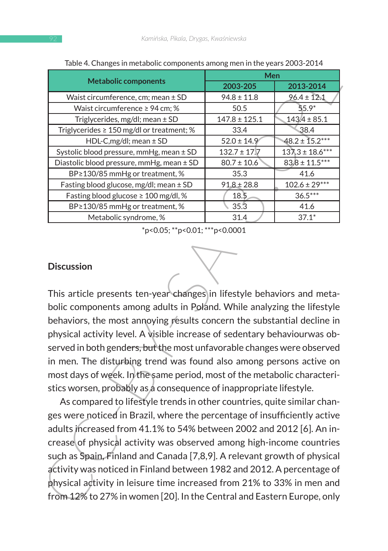| rable 4. Changes in inclabonc components among men in the years 2003-2014                                                                                                                                                                                                                                                                                                                                                                                                                                                                                                                                                                                                                                                                                                                                                                                                                                                                                                                                                                                                  | Men               |                     |  |  |  |
|----------------------------------------------------------------------------------------------------------------------------------------------------------------------------------------------------------------------------------------------------------------------------------------------------------------------------------------------------------------------------------------------------------------------------------------------------------------------------------------------------------------------------------------------------------------------------------------------------------------------------------------------------------------------------------------------------------------------------------------------------------------------------------------------------------------------------------------------------------------------------------------------------------------------------------------------------------------------------------------------------------------------------------------------------------------------------|-------------------|---------------------|--|--|--|
| <b>Metabolic components</b>                                                                                                                                                                                                                                                                                                                                                                                                                                                                                                                                                                                                                                                                                                                                                                                                                                                                                                                                                                                                                                                | 2003-205          | 2013-2014           |  |  |  |
| Waist circumference, cm; mean ± SD                                                                                                                                                                                                                                                                                                                                                                                                                                                                                                                                                                                                                                                                                                                                                                                                                                                                                                                                                                                                                                         | $94.8 \pm 11.8$   | $96.4 \pm 12.1$     |  |  |  |
| Waist circumference ≥ 94 cm; %                                                                                                                                                                                                                                                                                                                                                                                                                                                                                                                                                                                                                                                                                                                                                                                                                                                                                                                                                                                                                                             | 50.5              | $55.9*$             |  |  |  |
| Triglycerides, mg/dl; mean ± SD                                                                                                                                                                                                                                                                                                                                                                                                                                                                                                                                                                                                                                                                                                                                                                                                                                                                                                                                                                                                                                            | $147.8 \pm 125.1$ | $143.4 \pm 85.1$    |  |  |  |
| Triglycerides ≥ 150 mg/dl or treatment; %                                                                                                                                                                                                                                                                                                                                                                                                                                                                                                                                                                                                                                                                                                                                                                                                                                                                                                                                                                                                                                  | 33.4              | 38.4                |  |  |  |
| HDL-C,mg/dl; mean ± SD                                                                                                                                                                                                                                                                                                                                                                                                                                                                                                                                                                                                                                                                                                                                                                                                                                                                                                                                                                                                                                                     | $52.0 \pm 14.9$   | $48.2 \pm 15.2***$  |  |  |  |
| Systolic blood pressure, mmHg, mean ± SD                                                                                                                                                                                                                                                                                                                                                                                                                                                                                                                                                                                                                                                                                                                                                                                                                                                                                                                                                                                                                                   | $132.7 \pm 17.7$  | $137.3 \pm 18.6***$ |  |  |  |
| Diastolic blood pressure, mmHg, mean ± SD                                                                                                                                                                                                                                                                                                                                                                                                                                                                                                                                                                                                                                                                                                                                                                                                                                                                                                                                                                                                                                  | $80.7 \pm 10.6$   | $83.8 \pm 11.5***$  |  |  |  |
| BP≥130/85 mmHg or treatment, %                                                                                                                                                                                                                                                                                                                                                                                                                                                                                                                                                                                                                                                                                                                                                                                                                                                                                                                                                                                                                                             | 35.3              | 41.6                |  |  |  |
| Fasting blood glucose, mg/dl; mean ± SD                                                                                                                                                                                                                                                                                                                                                                                                                                                                                                                                                                                                                                                                                                                                                                                                                                                                                                                                                                                                                                    | $91.8 \pm 28.8$   | $102.6 \pm 29***$   |  |  |  |
| Fasting blood glucose ≥ 100 mg/dl, %                                                                                                                                                                                                                                                                                                                                                                                                                                                                                                                                                                                                                                                                                                                                                                                                                                                                                                                                                                                                                                       | 18.5              | $36.5***$           |  |  |  |
| BP≥130/85 mmHg or treatment, %                                                                                                                                                                                                                                                                                                                                                                                                                                                                                                                                                                                                                                                                                                                                                                                                                                                                                                                                                                                                                                             | 35.3              | 41.6                |  |  |  |
| Metabolic syndrome, %                                                                                                                                                                                                                                                                                                                                                                                                                                                                                                                                                                                                                                                                                                                                                                                                                                                                                                                                                                                                                                                      | 31.4              | $37.1*$             |  |  |  |
| <b>Discussion</b><br>This article presents ten-year changes in lifestyle behaviors and meta-<br>bolic components among adults in Poland. While analyzing the lifestyle                                                                                                                                                                                                                                                                                                                                                                                                                                                                                                                                                                                                                                                                                                                                                                                                                                                                                                     |                   |                     |  |  |  |
| behaviors, the most annoying results concern the substantial decline in<br>physical activity level. A visible increase of sedentary behaviourwas ob-<br>served in both genders, but the most unfavorable changes were observed<br>in men. The disturbing trend was found also among persons active on<br>most days of week. In the same period, most of the metabolic characteri-<br>stics worsen, probably as a consequence of inappropriate lifestyle.<br>As compared to lifestyle trends in other countries, quite similar chan-<br>ges were noticed in Brazil, where the percentage of insufficiently active<br>adults increased from 41.1% to 54% between 2002 and 2012 [6]. An in-<br>crease of physical activity was observed among high-income countries<br>such as Spain, Finland and Canada [7,8,9]. A relevant growth of physical<br>activity was noticed in Finland between 1982 and 2012. A percentage of<br>physical activity in leisure time increased from 21% to 33% in men and<br>from 12% to 27% in women [20]. In the Central and Eastern Europe, only |                   |                     |  |  |  |

Table 4. Changes in metabolic components among men in the years 2003-2014

#### **Discussion**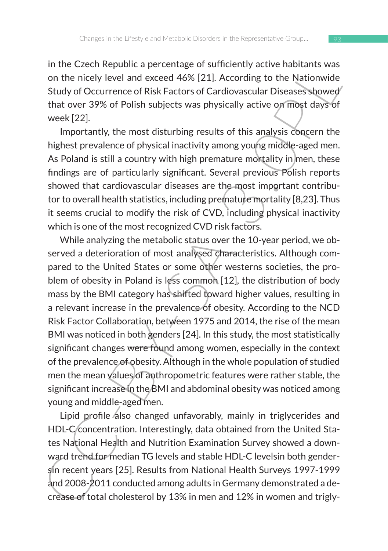in the Czech Republic a percentage of sufficiently active habitants was on the nicely level and exceed 46% [21]. According to the Nationwide Study of Occurrence of Risk Factors of Cardiovascular Diseases showed that over 39% of Polish subjects was physically active on most days of week [22].

Importantly, the most disturbing results of this analysis concern the highest prevalence of physical inactivity among young middle-aged men. As Poland is still a country with high premature mortality in men, these findings are of particularly significant. Several previous Polish reports showed that cardiovascular diseases are the most important contributor to overall health statistics, including premature mortality [8,23]. Thus it seems crucial to modify the risk of CVD, including physical inactivity which is one of the most recognized CVD risk factors.

in the Czetti requibuit a perticulage of solutionty active instanting was the incided to the higher carrier on the including to the Nationwide Study of Occurrence of Risk Factors of Cardiovascular Diseases showed that over While analyzing the metabolic status over the 10-year period, we observed a deterioration of most analysed characteristics. Although compared to the United States or some other westerns societies, the problem of obesity in Poland is less common [12], the distribution of body mass by the BMI category has shifted toward higher values, resulting in a relevant increase in the prevalence of obesity. According to the NCD Risk Factor Collaboration, between 1975 and 2014, the rise of the mean BMI was noticed in both genders [24]. In this study, the most statistically significant changes were found among women, especially in the context of the prevalence of obesity. Although in the whole population of studied men the mean values of anthropometric features were rather stable, the significant increase in the BMI and abdominal obesity was noticed among young and middle-aged men.

Lipid profile also changed unfavorably, mainly in triglycerides and HDL-C concentration. Interestingly, data obtained from the United States National Health and Nutrition Examination Survey showed a downward trend for median TG levels and stable HDL-C levelsin both gendersin recent years [25]. Results from National Health Surveys 1997-1999 and 2008-2011 conducted among adults in Germany demonstrated a decrease of total cholesterol by 13% in men and 12% in women and trigly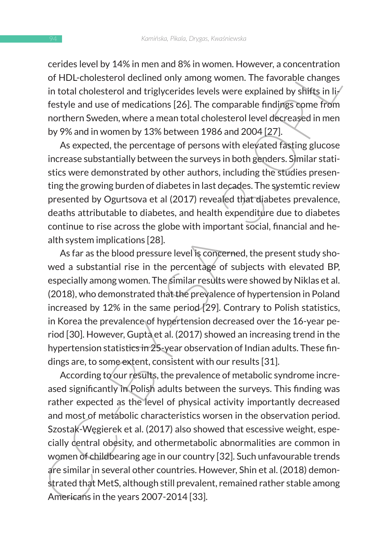cerides level by 14% in men and 8% in women. However, a concentration of HDL-cholesterol declined only among women. The favorable changes in total cholesterol and triglycerides levels were explained by shifts in  $\mathbf{li}$ festyle and use of medications [26]. The comparable findings come from northern Sweden, where a mean total cholesterol level decreased in men by 9% and in women by 13% between 1986 and 2004 [27].

As expected, the percentage of persons with elevated fasting glucose increase substantially between the surveys in both genders. Similar statistics were demonstrated by other authors, including the studies presenting the growing burden of diabetes in last decades. The systemtic review presented by Ogurtsova et al (2017) revealed that diabetes prevalence, deaths attributable to diabetes, and health expenditure due to diabetes continue to rise across the globe with important social, financial and health system implications [28].

As far as the blood pressure level is concerned, the present study showed a substantial rise in the percentage of subjects with elevated BP, especially among women. The similar results were showed by Niklas et al. (2018), who demonstrated that the prevalence of hypertension in Poland increased by 12% in the same period [29]. Contrary to Polish statistics, in Korea the prevalence of hypertension decreased over the 16-year period [30]. However, Gupta et al. (2017) showed an increasing trend in the hypertension statistics in 25-year observation of Indian adults. These findings are, to some extent, consistent with our results [31].

erine as lever by "4"semineria into as sin women. The favorable changes<br>of HDL-cholestero) declined only among women. The favorable changes<br>in total cholesterol declined only among women. The favorable changes<br>in total cho According to our results, the prevalence of metabolic syndrome increased significantly in Polish adults between the surveys. This finding was rather expected as the level of physical activity importantly decreased and most of metabolic characteristics worsen in the observation period. Szostak-Węgierek et al. (2017) also showed that escessive weight, especially central obesity, and othermetabolic abnormalities are common in women of childbearing age in our country [32]. Such unfavourable trends are similar in several other countries. However, Shin et al. (2018) demonstrated that MetS, although still prevalent, remained rather stable among Americans in the years 2007-2014 [33].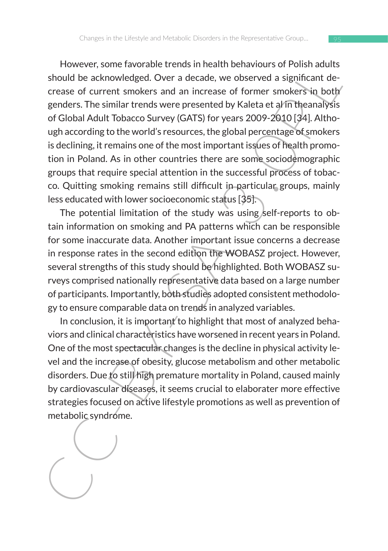House is a storage and particular entergy in relations in the matter and the case of correct solution be acknowledged. Over a decade, we observed a significant decrease of current smokers and an increase of former smokers However, some favorable trends in health behaviours of Polish adults should be acknowledged. Over a decade, we observed a significant decrease of current smokers and an increase of former smokers in both genders. The similar trends were presented by Kaleta et al in theanalysis of Global Adult Tobacco Survey (GATS) for years 2009-2010 [34]. Although according to the world's resources, the global percentage of smokers is declining, it remains one of the most important issues of health promotion in Poland. As in other countries there are some sociodemographic groups that require special attention in the successful process of tobacco. Quitting smoking remains still difficult in particular groups, mainly less educated with lower socioeconomic status [35].

The potential limitation of the study was using self-reports to obtain information on smoking and PA patterns which can be responsible for some inaccurate data. Another important issue concerns a decrease in response rates in the second edition the WOBASZ project. However, several strengths of this study should be highlighted. Both WOBASZ surveys comprised nationally representative data based on a large number of participants. Importantly, both studies adopted consistent methodology to ensure comparable data on trends in analyzed variables.

In conclusion, it is important to highlight that most of analyzed behaviors and clinical characteristics have worsened in recent years in Poland. One of the most spectacular changes is the decline in physical activity level and the increase of obesity, glucose metabolism and other metabolic disorders. Due to still high premature mortality in Poland, caused mainly by cardiovascular diseases, it seems crucial to elaborater more effective strategies focused on active lifestyle promotions as well as prevention of metabolic syndrome.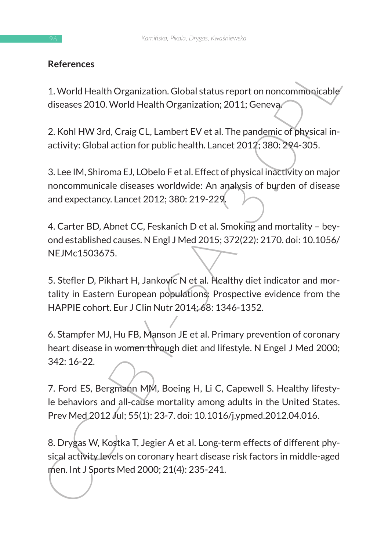# **References**

1. World Health Organization. Global status report on noncommunicable diseases 2010. World Health Organization; 2011; Geneva.

2. Kohl HW 3rd, Craig CL, Lambert EV et al. The pandemic of physical inactivity: Global action for public health. Lancet 2012; 380: 294-305.

3. Lee IM, Shiroma EJ, LObelo F et al. Effect of physical inactivity on major noncommunicale diseases worldwide: An analysis of burden of disease and expectancy. Lancet 2012; 380: 219-229.

4. Carter BD, Abnet CC, Feskanich D et al. Smoking and mortality – beyond established causes. N Engl J Med 2015; 372(22): 2170. doi: 10.1056/ NEJMc1503675.

5. Stefler D, Pikhart H, Jankovic N et al. Healthy diet indicator and mortality in Eastern European populations: Prospective evidence from the HAPPIE cohort. Eur J Clin Nutr 2014; 68: 1346-1352.

References<br>
1. World Health Organization. Global status report on noncommunicable<br>
diseases 2010. World Health Organization; 2011; Geneva<br>
2. Kohl HW 3rd, Craig CL, Lambert EV et al. The pandemic of physical in-<br>
activity: 6. Stampfer MJ, Hu FB, Manson JE et al. Primary prevention of coronary heart disease in women through diet and lifestyle. N Engel J Med 2000; 342: 16-22.

7. Ford ES, Bergmann MM, Boeing H, Li C, Capewell S. Healthy lifestyle behaviors and all-cause mortality among adults in the United States. Prev Med 2012 Jul; 55(1): 23-7. doi: 10.1016/j.ypmed.2012.04.016.

8. Drygas W, Kostka T, Jegier A et al. Long-term effects of different physical activity levels on coronary heart disease risk factors in middle-aged men. Int J Sports Med 2000; 21(4): 235-241.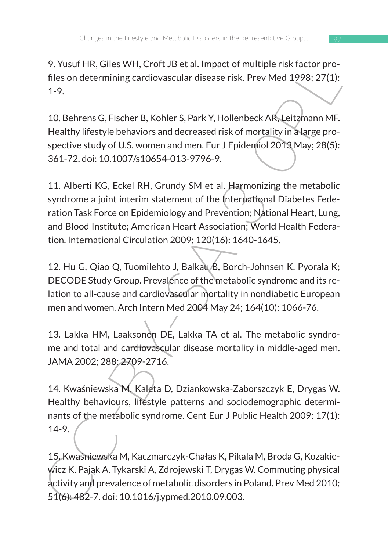9. Yusuf HR, Giles WH, Croft JB et al. Impact of multiple risk factor profiles on determining cardiovascular disease risk. Prev Med 1998; 27(1): 1-9.

10. Behrens G, Fischer B, Kohler S, Park Y, Hollenbeck AR, Leitzmann MF. Healthy lifestyle behaviors and decreased risk of mortality in a large prospective study of U.S. women and men. Eur J Epidemiol 2013 May; 28(5): 361-72. doi: 10.1007/s10654-013-9796-9.

F. Hustrame Writ, Chottle et al. Impact of interprets actuar pro-<br>
files on determining cardiovascular disease risk. Prev Med 1998; 27(1):<br>
1-9.<br>
10. Behrens G, Fischer B, Kohler S, Park Y, Hollenbeck AR, Leitzmann MF.<br>
He 11. Alberti KG, Eckel RH, Grundy SM et al. Harmonizing the metabolic syndrome a joint interim statement of the International Diabetes Federation Task Force on Epidemiology and Prevention; National Heart, Lung, and Blood Institute; American Heart Association; World Health Federation. International Circulation 2009; 120(16): 1640-1645.

12. Hu G, Qiao Q, Tuomilehto J, Balkau B, Borch-Johnsen K, Pyorala K; DECODE Study Group. Prevalence of the metabolic syndrome and its relation to all-cause and cardiovascular mortality in nondiabetic European men and women. Arch Intern Med 2004 May 24; 164(10): 1066-76.

13. Lakka HM, Laaksonen DE, Lakka TA et al. The metabolic syndrome and total and cardiovascular disease mortality in middle-aged men. JAMA 2002; 288: 2709-2716.

14. Kwaśniewska M, Kaleta D, Dziankowska-Zaborszczyk E, Drygas W. Healthy behaviours, lifestyle patterns and sociodemographic determinants of the metabolic syndrome. Cent Eur J Public Health 2009; 17(1): 14-9.

15. Kwaśniewska M, Kaczmarczyk-Chałas K, Pikala M, Broda G, Kozakiewicz K, Pająk A, Tykarski A, Zdrojewski T, Drygas W. Commuting physical activity and prevalence of metabolic disorders in Poland. Prev Med 2010; 51(6): 482-7. doi: 10.1016/j.ypmed.2010.09.003.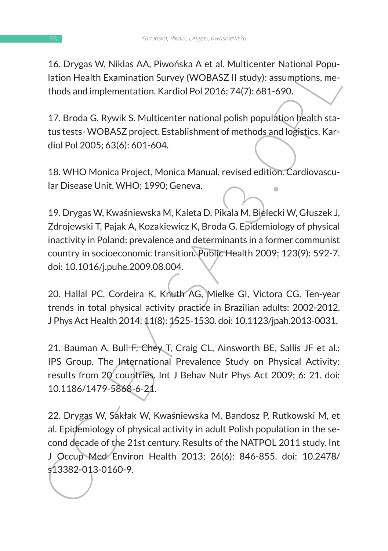16. Drygas W, Niklas AA, Piwońska A et al. Multicenter National Population Health Examination Survey (WOBASZ II study): assumptions, methods and implementation. Kardiol Pol 2016; 74(7): 681-690.

17. Broda G, Rywik S. Multicenter national polish population health status tests- WOBASZ project. Establishment of methods and logistics. Kardiol Pol 2005; 63(6): 601-604.

18. WHO Monica Project, Monica Manual, revised edition. Cardiovascular Disease Unit. WHO; 1990; Geneva.

19. Drygas W, Kwaśniewska M, Kaleta D, Pikala M, Bielecki W, Głuszek J, Zdrojewski T, Pajak A, Kozakiewicz K, Broda G. Epidemiology of physical inactivity in Poland: prevalence and determinants in a former communist country in socioeconomic transition. Public Health 2009; 123(9): 592-7. doi: 10.1016/j.puhe.2009.08.004.

20. Hallal PC, Cordeira K, Knuth AG, Mielke GI, Victora CG. Ten-year trends in total physical activity practice in Brazilian adults: 2002-2012. J Phys Act Health 2014; 11(8): 1525-1530. doi: 10.1123/jpah.2013-0031.

21. Bauman A, Bull F, Chey T, Craig CL, Ainsworth BE, Sallis JF et al.; IPS Group. The International Prevalence Study on Physical Activity: results from 20 countries. Int J Behav Nutr Phys Act 2009; 6: 21. doi: 10.1186/1479-5868-6-21.

1. Drygas W, Kwista AA, Pwonlska AL et al. Wouthelener Nation<br>1. Iation Health Examination Survey (WOBASZ II study): assumptions, me-<br>1. Iation Health Examination Survey (WOBASZ II study): assumptions, me-<br>1. The Bradislan 22. Drygas W, Sakłak W, Kwaśniewska M, Bandosz P, Rutkowski M, et al. Epidemiology of physical activity in adult Polish population in the second decade of the 21st century. Results of the NATPOL 2011 study. Int J Occup Med Environ Health 2013; 26(6): 846-855. doi: 10.2478/ s13382-013-0160-9.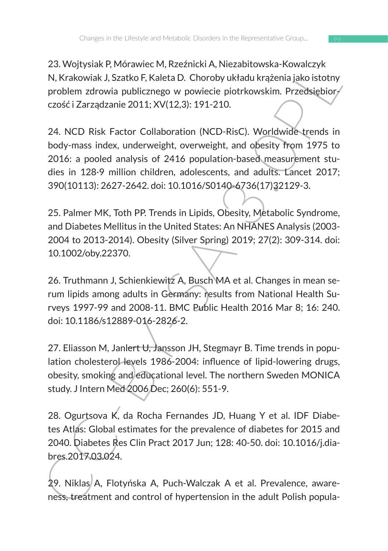23. Wojtysiak P, Mórawiec M, Rzeźnicki A, Niezabitowska-Kowalczyk N, Krakowiak J, Szatko F, Kaleta D. Choroby układu krążenia jako istotny problem zdrowia publicznego w powiecie piotrkowskim. Przedsiębiorczość i Zarządzanie 2011; XV(12,3): 191-210.

25. volyysiar F, volucine C iv, tezamick m, wezasinousos-a-cowalczysta<br>
N, Krakowiak J, Szatko F, Kaleta D. Choroby układu krażenia jako istotny<br>
problem zdrowia publicznego w powiecie piotrkowskim. Przedsiębior<br>
czość i Z 24. NCD Risk Factor Collaboration (NCD-RisC). Worldwide trends in body-mass index, underweight, overweight, and obesity from 1975 to 2016: a pooled analysis of 2416 population-based measurement studies in 128·9 million children, adolescents, and adults. Lancet 2017; 390(10113): 2627-2642. doi: 10.1016/S0140-6736(17)32129-3.

25. Palmer MK, Toth PP. Trends in Lipids, Obesity, Metabolic Syndrome, and Diabetes Mellitus in the United States: An NHANES Analysis (2003- 2004 to 2013-2014). Obesity (Silver Spring) 2019; 27(2): 309-314. doi: 10.1002/oby.22370.

26. Truthmann J, Schienkiewitz A, Busch MA et al. Changes in mean serum lipids among adults in Germany: results from National Health Surveys 1997-99 and 2008-11. BMC Public Health 2016 Mar 8; 16: 240. doi: 10.1186/s12889-016-2826-2.

27. Eliasson M, Janlert U, Jansson JH, Stegmayr B. Time trends in population cholesterol levels 1986-2004: influence of lipid-lowering drugs, obesity, smoking and educational level. The northern Sweden MONICA study. J Intern Med 2006 Dec; 260(6): 551-9.

28. Ogurtsova K, da Rocha Fernandes JD, Huang Y et al. IDF Diabetes Atlas: Global estimates for the prevalence of diabetes for 2015 and 2040. Diabetes Res Clin Pract 2017 Jun; 128: 40-50. doi: 10.1016/j.diabres.2017.03.024.

29. Niklas A, Flotyńska A, Puch-Walczak A et al. Prevalence, awareness, treatment and control of hypertension in the adult Polish popula